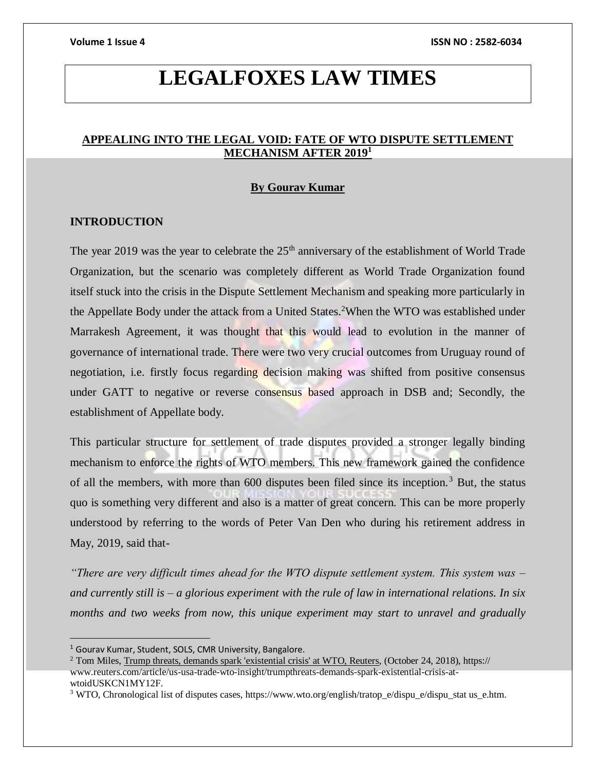# **LEGALFOXES LAW TIMES**

# **APPEALING INTO THE LEGAL VOID: FATE OF WTO DISPUTE SETTLEMENT MECHANISM AFTER 2019<sup>1</sup>**

#### **By Gourav Kumar**

### **INTRODUCTION**

The year 2019 was the year to celebrate the  $25<sup>th</sup>$  anniversary of the establishment of World Trade Organization, but the scenario was completely different as World Trade Organization found itself stuck into the crisis in the Dispute Settlement Mechanism and speaking more particularly in the Appellate Body under the attack from a United States.<sup>2</sup>When the WTO was established under Marrakesh Agreement, it was thought that this would lead to evolution in the manner of governance of international trade. There were two very crucial outcomes from Uruguay round of negotiation, i.e. firstly focus regarding decision making was shifted from positive consensus under GATT to negative or reverse consensus based approach in DSB and; Secondly, the establishment of Appellate body.

This particular structure for settlement of trade disputes provided a stronger legally binding mechanism to enforce the rights of WTO members. This new framework gained the confidence of all the members, with more than 600 disputes been filed since its inception.<sup>3</sup> But, the status quo is something very different and also is a matter of great concern. This can be more properly understood by referring to the words of Peter Van Den who during his retirement address in May, 2019, said that-

*"There are very difficult times ahead for the WTO dispute settlement system. This system was – and currently still is – a glorious experiment with the rule of law in international relations. In six months and two weeks from now, this unique experiment may start to unravel and gradually* 

<sup>1</sup> Gourav Kumar, Student, SOLS, CMR University, Bangalore.

 $2$  Tom Miles, Trump threats, demands spark 'existential crisis' at WTO, Reuters, (October 24, 2018), https:// www.reuters.com/article/us-usa-trade-wto-insight/trumpthreats-demands-spark-existential-crisis-atwtoidUSKCN1MY12F.

<sup>3</sup> WTO, Chronological list of disputes cases, https://www.wto.org/english/tratop\_e/dispu\_e/dispu\_stat us\_e.htm.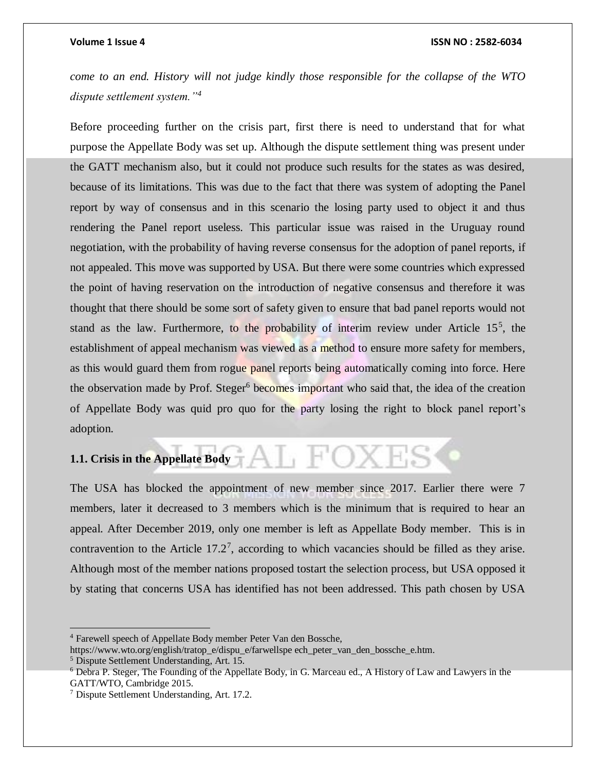#### **Volume 1 Issue 4 ISSN NO : 2582-6034**

*come to an end. History will not judge kindly those responsible for the collapse of the WTO dispute settlement system."<sup>4</sup>*

Before proceeding further on the crisis part, first there is need to understand that for what purpose the Appellate Body was set up. Although the dispute settlement thing was present under the GATT mechanism also, but it could not produce such results for the states as was desired, because of its limitations. This was due to the fact that there was system of adopting the Panel report by way of consensus and in this scenario the losing party used to object it and thus rendering the Panel report useless. This particular issue was raised in the Uruguay round negotiation, with the probability of having reverse consensus for the adoption of panel reports, if not appealed. This move was supported by USA. But there were some countries which expressed the point of having reservation on the introduction of negative consensus and therefore it was thought that there should be some sort of safety given to ensure that bad panel reports would not stand as the law. Furthermore, to the probability of interim review under Article  $15<sup>5</sup>$ , the establishment of appeal mechanism was viewed as a method to ensure more safety for members, as this would guard them from rogue panel reports being automatically coming into force. Here the observation made by Prof. Steger<sup>6</sup> becomes important who said that, the idea of the creation of Appellate Body was quid pro quo for the party losing the right to block panel report's adoption.

**1.1. Crisis in the Appellate Body** 

The USA has blocked the appointment of new member since 2017. Earlier there were 7 members, later it decreased to 3 members which is the minimum that is required to hear an appeal. After December 2019, only one member is left as Appellate Body member. This is in contravention to the Article  $17.2^7$ , according to which vacancies should be filled as they arise. Although most of the member nations proposed tostart the selection process, but USA opposed it by stating that concerns USA has identified has not been addressed. This path chosen by USA

<sup>4</sup> Farewell speech of Appellate Body member Peter Van den Bossche,

https://www.wto.org/english/tratop\_e/dispu\_e/farwellspe ech\_peter\_van\_den\_bossche\_e.htm.

<sup>5</sup> Dispute Settlement Understanding, Art. 15.

<sup>6</sup> Debra P. Steger, The Founding of the Appellate Body, in G. Marceau ed., A History of Law and Lawyers in the GATT/WTO, Cambridge 2015.

<sup>7</sup> Dispute Settlement Understanding, Art. 17.2.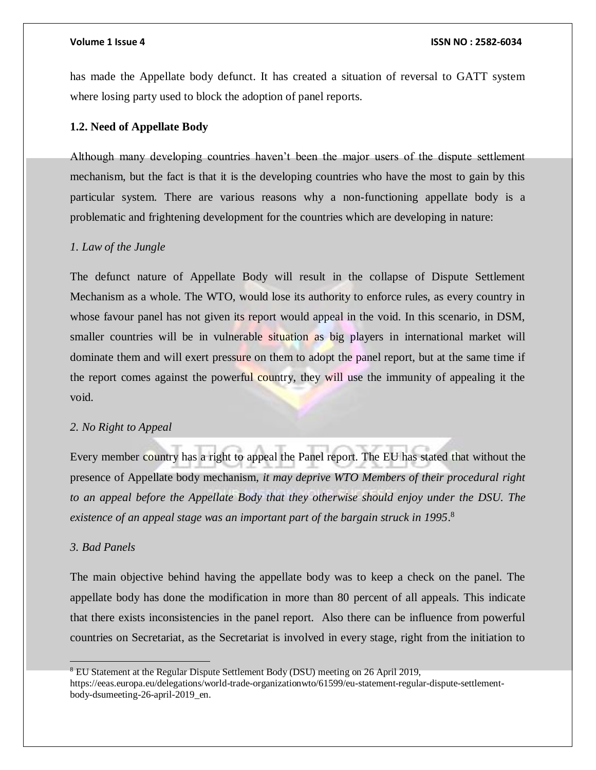has made the Appellate body defunct. It has created a situation of reversal to GATT system where losing party used to block the adoption of panel reports.

### **1.2. Need of Appellate Body**

Although many developing countries haven't been the major users of the dispute settlement mechanism, but the fact is that it is the developing countries who have the most to gain by this particular system. There are various reasons why a non-functioning appellate body is a problematic and frightening development for the countries which are developing in nature:

#### *1. Law of the Jungle*

The defunct nature of Appellate Body will result in the collapse of Dispute Settlement Mechanism as a whole. The WTO, would lose its authority to enforce rules, as every country in whose favour panel has not given its report would appeal in the void. In this scenario, in DSM, smaller countries will be in vulnerable situation as big players in international market will dominate them and will exert pressure on them to adopt the panel report, but at the same time if the report comes against the powerful country, they will use the immunity of appealing it the void.

### *2. No Right to Appeal*

Every member country has a right to appeal the Panel report. The EU has stated that without the presence of Appellate body mechanism, *it may deprive WTO Members of their procedural right to an appeal before the Appellate Body that they otherwise should enjoy under the DSU. The existence of an appeal stage was an important part of the bargain struck in 1995*. 8

## *3. Bad Panels*

The main objective behind having the appellate body was to keep a check on the panel. The appellate body has done the modification in more than 80 percent of all appeals. This indicate that there exists inconsistencies in the panel report. Also there can be influence from powerful countries on Secretariat, as the Secretariat is involved in every stage, right from the initiation to

<sup>8</sup> EU Statement at the Regular Dispute Settlement Body (DSU) meeting on 26 April 2019, https://eeas.europa.eu/delegations/world-trade-organizationwto/61599/eu-statement-regular-dispute-settlementbody-dsumeeting-26-april-2019\_en.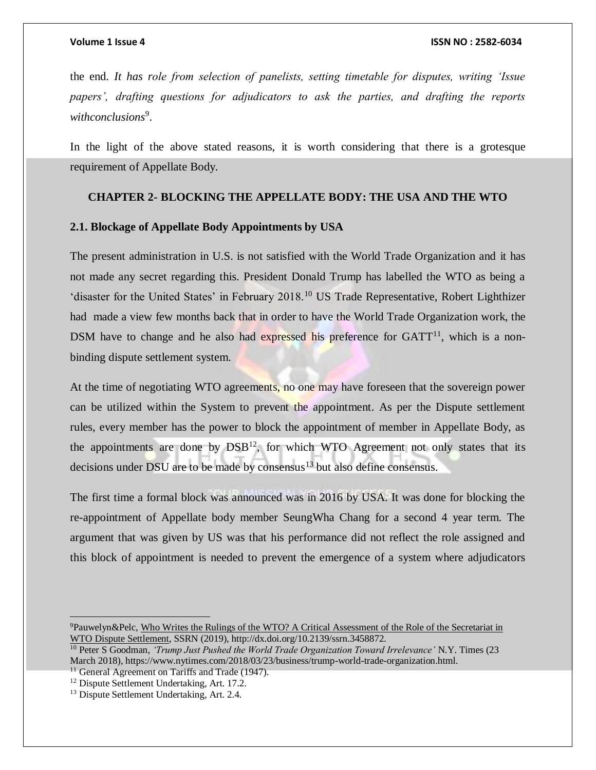the end. *It has role from selection of panelists, setting timetable for disputes, writing 'Issue papers', drafting questions for adjudicators to ask the parties, and drafting the reports withconclusions*<sup>9</sup> .

In the light of the above stated reasons, it is worth considering that there is a grotesque requirement of Appellate Body.

# **CHAPTER 2- BLOCKING THE APPELLATE BODY: THE USA AND THE WTO**

### **2.1. Blockage of Appellate Body Appointments by USA**

The present administration in U.S. is not satisfied with the World Trade Organization and it has not made any secret regarding this. President Donald Trump has labelled the WTO as being a 'disaster for the United States' in February 2018.<sup>10</sup> US Trade Representative, Robert Lighthizer had made a view few months back that in order to have the World Trade Organization work, the DSM have to change and he also had expressed his preference for  $GATT<sup>11</sup>$ , which is a nonbinding dispute settlement system.

At the time of negotiating WTO agreements, no one may have foreseen that the sovereign power can be utilized within the System to prevent the appointment. As per the Dispute settlement rules, every member has the power to block the appointment of member in Appellate Body, as the appointments are done by  $DSB<sup>12</sup>$ , for which WTO Agreement not only states that its decisions under DSU are to be made by consensus $13$  but also define consensus.

The first time a formal block was announced was in 2016 by USA. It was done for blocking the re-appointment of Appellate body member SeungWha Chang for a second 4 year term. The argument that was given by US was that his performance did not reflect the role assigned and this block of appointment is needed to prevent the emergence of a system where adjudicators

<sup>11</sup> General Agreement on Tariffs and Trade (1947).

<sup>9</sup>Pauwelyn&Pelc, Who Writes the Rulings of the WTO? A Critical Assessment of the Role of the Secretariat in WTO Dispute Settlement, SSRN (2019), http://dx.doi.org/10.2139/ssrn.3458872.

<sup>10</sup> Peter S Goodman, *'Trump Just Pushed the World Trade Organization Toward Irrelevance'* N.Y. Times (23 March 2018), https://www.nytimes.com/2018/03/23/business/trump-world-trade-organization.html.

<sup>12</sup> Dispute Settlement Undertaking, Art. 17.2.

<sup>&</sup>lt;sup>13</sup> Dispute Settlement Undertaking, Art. 2.4.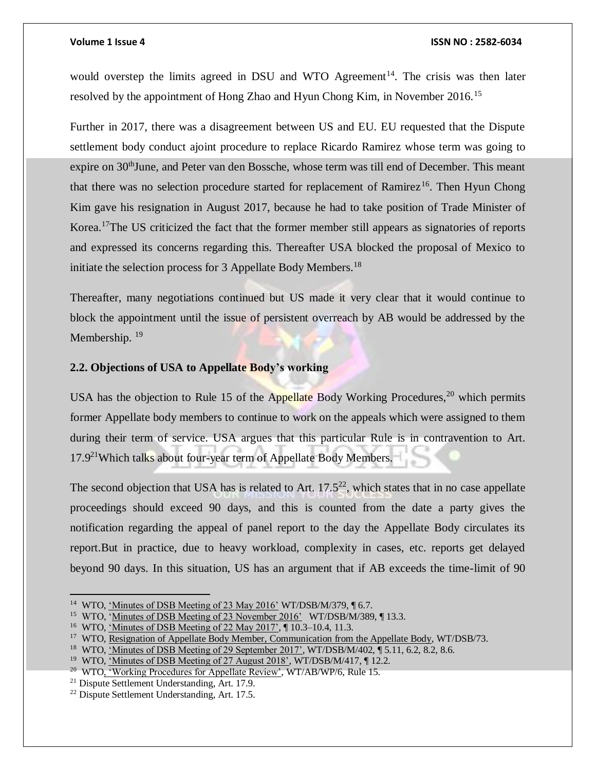#### **Volume 1 Issue 4 ISSN NO : 2582-6034**

would overstep the limits agreed in DSU and WTO Agreement<sup>14</sup>. The crisis was then later resolved by the appointment of Hong Zhao and Hyun Chong Kim, in November 2016.<sup>15</sup>

Further in 2017, there was a disagreement between US and EU. EU requested that the Dispute settlement body conduct ajoint procedure to replace Ricardo Ramirez whose term was going to expire on  $30<sup>th</sup>$  June, and Peter van den Bossche, whose term was till end of December. This meant that there was no selection procedure started for replacement of Ramirez<sup>16</sup>. Then Hyun Chong Kim gave his resignation in August 2017, because he had to take position of Trade Minister of Korea.<sup>17</sup>The US criticized the fact that the former member still appears as signatories of reports and expressed its concerns regarding this. Thereafter USA blocked the proposal of Mexico to initiate the selection process for 3 Appellate Body Members.<sup>18</sup>

Thereafter, many negotiations continued but US made it very clear that it would continue to block the appointment until the issue of persistent overreach by AB would be addressed by the Membership.<sup>19</sup>

### **2.2. Objections of USA to Appellate Body's working**

USA has the objection to Rule 15 of the Appellate Body Working Procedures,  $^{20}$  which permits former Appellate body members to continue to work on the appeals which were assigned to them during their term of service. USA argues that this particular Rule is in contravention to Art.  $17.9<sup>21</sup>$ Which talks about four-year term of Appellate Body Members.

The second objection that USA has is related to Art.  $17.5^{22}$ , which states that in no case appellate proceedings should exceed 90 days, and this is counted from the date a party gives the notification regarding the appeal of panel report to the day the Appellate Body circulates its report.But in practice, due to heavy workload, complexity in cases, etc. reports get delayed beyond 90 days. In this situation, US has an argument that if AB exceeds the time-limit of 90

<sup>&</sup>lt;sup>14</sup> WTO, <u>'Minutes of DSB Meeting of 23 May 2016'</u> WT/DSB/M/379, 16.7.

<sup>&</sup>lt;sup>15</sup> WTO, 'Minutes of DSB Meeting of 23 November 2016' WT/DSB/M/389, [13.3.]

<sup>&</sup>lt;sup>16</sup> WTO, <u>'Minutes of DSB Meeting of 22 May 2017',</u> ¶ 10.3–10.4, 11.3.

<sup>&</sup>lt;sup>17</sup> WTO, Resignation of Appellate Body Member, Communication from the Appellate Body, WT/DSB/73.

<sup>&</sup>lt;sup>18</sup> WTO, 'Minutes of DSB Meeting of 29 September 2017', WT/DSB/M/402, 15.11, 6.2, 8.2, 8.6.

<sup>&</sup>lt;sup>19</sup> WTO, 'Minutes of DSB Meeting of 27 August 2018', WT/DSB/M/417, [12.2.]

<sup>&</sup>lt;sup>20</sup> WTO, 'Working Procedures for Appellate Review', WT/AB/WP/6, Rule 15.

<sup>21</sup> Dispute Settlement Understanding, Art. 17.9.

<sup>22</sup> Dispute Settlement Understanding, Art. 17.5.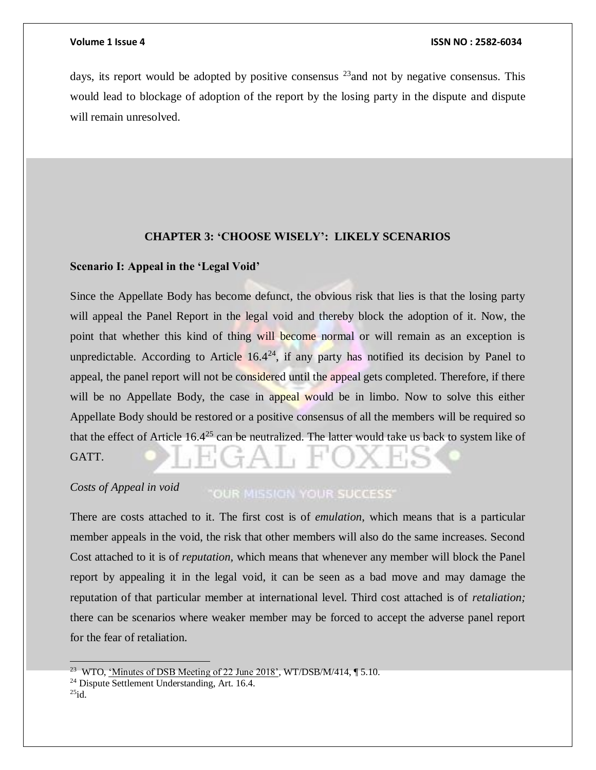days, its report would be adopted by positive consensus  $^{23}$  and not by negative consensus. This would lead to blockage of adoption of the report by the losing party in the dispute and dispute will remain unresolved.

#### **CHAPTER 3: 'CHOOSE WISELY': LIKELY SCENARIOS**

#### **Scenario I: Appeal in the 'Legal Void'**

Since the Appellate Body has become defunct, the obvious risk that lies is that the losing party will appeal the Panel Report in the legal void and thereby block the adoption of it. Now, the point that whether this kind of thing will become normal or will remain as an exception is unpredictable. According to Article  $16.4^{24}$ , if any party has notified its decision by Panel to appeal, the panel report will not be considered until the appeal gets completed. Therefore, if there will be no Appellate Body, the case in appeal would be in limbo. Now to solve this either Appellate Body should be restored or a positive consensus of all the members will be required so that the effect of Article  $16.4^{25}$  can be neutralized. The latter would take us back to system like of GATT.

#### *Costs of Appeal in void* **OUR MISSION YOUR SUCCESS'**

There are costs attached to it. The first cost is of *emulation*, which means that is a particular member appeals in the void, the risk that other members will also do the same increases. Second Cost attached to it is of *reputation,* which means that whenever any member will block the Panel report by appealing it in the legal void, it can be seen as a bad move and may damage the reputation of that particular member at international level. Third cost attached is of *retaliation;*  there can be scenarios where weaker member may be forced to accept the adverse panel report for the fear of retaliation.

 $25id.$ 

<sup>&</sup>lt;sup>23</sup> WTO, <u>'Minutes of DSB Meeting of 22 June 2018'</u>, WT/DSB/M/414,  $\P$  5.10.

<sup>24</sup> Dispute Settlement Understanding, Art. 16.4.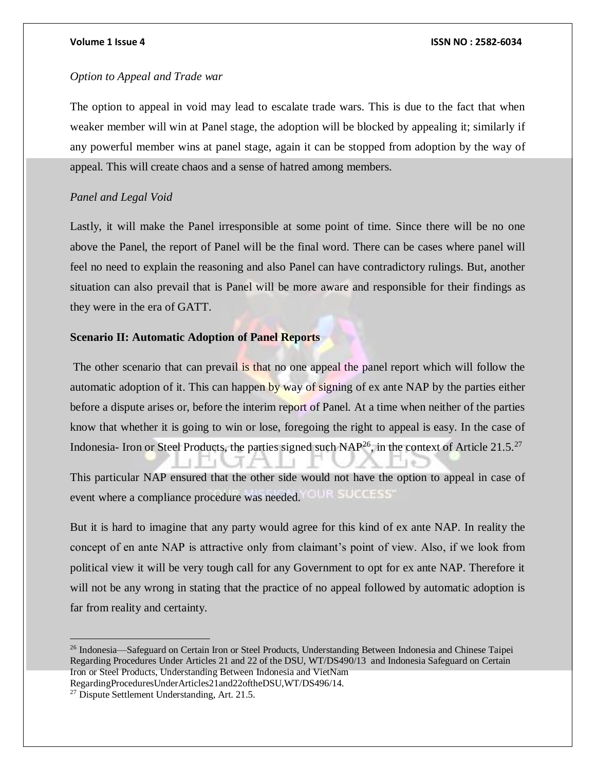# *Option to Appeal and Trade war*

The option to appeal in void may lead to escalate trade wars. This is due to the fact that when weaker member will win at Panel stage, the adoption will be blocked by appealing it; similarly if any powerful member wins at panel stage, again it can be stopped from adoption by the way of appeal. This will create chaos and a sense of hatred among members.

### *Panel and Legal Void*

Lastly, it will make the Panel irresponsible at some point of time. Since there will be no one above the Panel, the report of Panel will be the final word. There can be cases where panel will feel no need to explain the reasoning and also Panel can have contradictory rulings. But, another situation can also prevail that is Panel will be more aware and responsible for their findings as they were in the era of GATT.

### **Scenario II: Automatic Adoption of Panel Reports**

The other scenario that can prevail is that no one appeal the panel report which will follow the automatic adoption of it. This can happen by way of signing of ex ante NAP by the parties either before a dispute arises or, before the interim report of Panel. At a time when neither of the parties know that whether it is going to win or lose, foregoing the right to appeal is easy. In the case of Indonesia- Iron or Steel Products, the parties signed such  $NAP^{26}$ , in the context of Article 21.5.<sup>27</sup>

This particular NAP ensured that the other side would not have the option to appeal in case of OUR SUCCESS' event where a compliance procedure was needed.

But it is hard to imagine that any party would agree for this kind of ex ante NAP. In reality the concept of en ante NAP is attractive only from claimant's point of view. Also, if we look from political view it will be very tough call for any Government to opt for ex ante NAP. Therefore it will not be any wrong in stating that the practice of no appeal followed by automatic adoption is far from reality and certainty.

<sup>26</sup> Indonesia—Safeguard on Certain Iron or Steel Products, Understanding Between Indonesia and Chinese Taipei Regarding Procedures Under Articles 21 and 22 of the DSU, WT/DS490/13 and Indonesia Safeguard on Certain Iron or Steel Products, Understanding Between Indonesia and VietNam RegardingProceduresUnderArticles21and22oftheDSU,WT/DS496/14.

<sup>&</sup>lt;sup>27</sup> Dispute Settlement Understanding, Art. 21.5.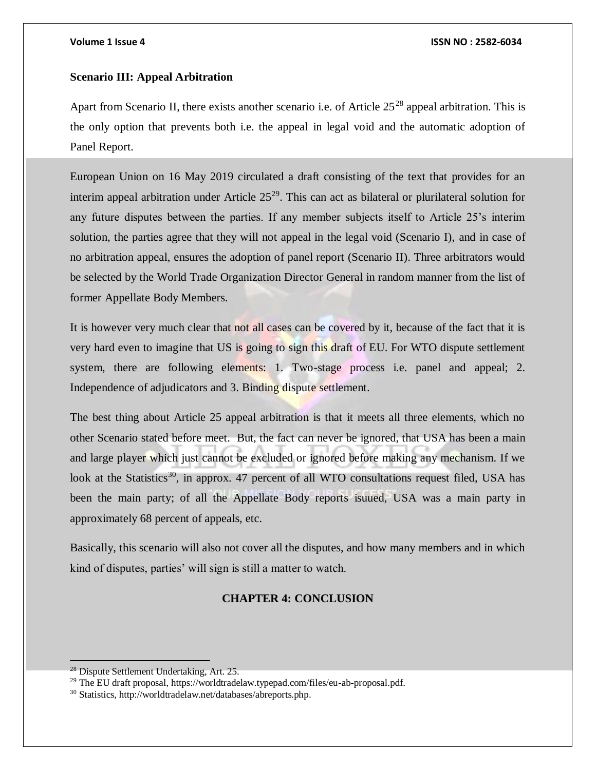# **Scenario III: Appeal Arbitration**

Apart from Scenario II, there exists another scenario i.e. of Article  $25^{28}$  appeal arbitration. This is the only option that prevents both i.e. the appeal in legal void and the automatic adoption of Panel Report.

European Union on 16 May 2019 circulated a draft consisting of the text that provides for an interim appeal arbitration under Article  $25^{29}$ . This can act as bilateral or plurilateral solution for any future disputes between the parties. If any member subjects itself to Article 25's interim solution, the parties agree that they will not appeal in the legal void (Scenario I), and in case of no arbitration appeal, ensures the adoption of panel report (Scenario II). Three arbitrators would be selected by the World Trade Organization Director General in random manner from the list of former Appellate Body Members.

It is however very much clear that not all cases can be covered by it, because of the fact that it is very hard even to imagine that US is going to sign this draft of EU. For WTO dispute settlement system, there are following elements: 1. Two-stage process i.e. panel and appeal; 2. Independence of adjudicators and 3. Binding dispute settlement.

The best thing about Article 25 appeal arbitration is that it meets all three elements, which no other Scenario stated before meet. But, the fact can never be ignored, that USA has been a main and large player which just cannot be excluded or ignored before making any mechanism. If we look at the Statistics<sup>30</sup>, in approx. 47 percent of all WTO consultations request filed, USA has been the main party; of all the Appellate Body reports isuued, USA was a main party in approximately 68 percent of appeals, etc.

Basically, this scenario will also not cover all the disputes, and how many members and in which kind of disputes, parties' will sign is still a matter to watch.

# **CHAPTER 4: CONCLUSION**

<sup>&</sup>lt;sup>28</sup> Dispute Settlement Undertaking, Art. 25.

<sup>&</sup>lt;sup>29</sup> The EU draft proposal, https://worldtradelaw.typepad.com/files/eu-ab-proposal.pdf.

<sup>30</sup> Statistics, http://worldtradelaw.net/databases/abreports.php.